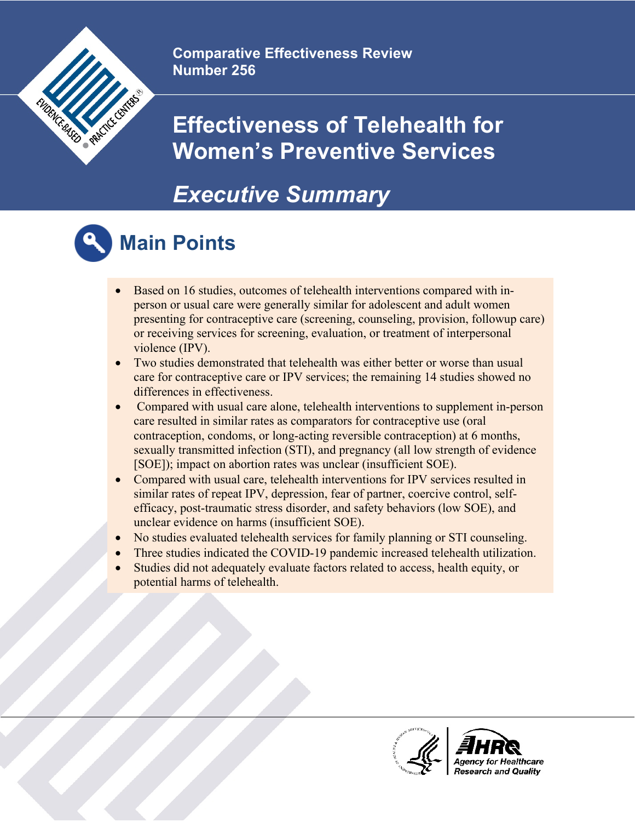

**Comparative Effectiveness Review Number 256**

### **Effectiveness of Telehealth for Women's Preventive Services**

#### *Executive Summary*



### **Main Points**

- Based on 16 studies, outcomes of telehealth interventions compared with inperson or usual care were generally similar for adolescent and adult women presenting for contraceptive care (screening, counseling, provision, followup care) or receiving services for screening, evaluation, or treatment of interpersonal violence (IPV).
- Two studies demonstrated that telehealth was either better or worse than usual care for contraceptive care or IPV services; the remaining 14 studies showed no differences in effectiveness.
- Compared with usual care alone, telehealth interventions to supplement in-person care resulted in similar rates as comparators for contraceptive use (oral contraception, condoms, or long-acting reversible contraception) at 6 months, sexually transmitted infection (STI), and pregnancy (all low strength of evidence [SOE]); impact on abortion rates was unclear (insufficient SOE).
- Compared with usual care, telehealth interventions for IPV services resulted in similar rates of repeat IPV, depression, fear of partner, coercive control, selfefficacy, post-traumatic stress disorder, and safety behaviors (low SOE), and unclear evidence on harms (insufficient SOE).
- No studies evaluated telehealth services for family planning or STI counseling.
- Three studies indicated the COVID-19 pandemic increased telehealth utilization.
- Studies did not adequately evaluate factors related to access, health equity, or potential harms of telehealth.

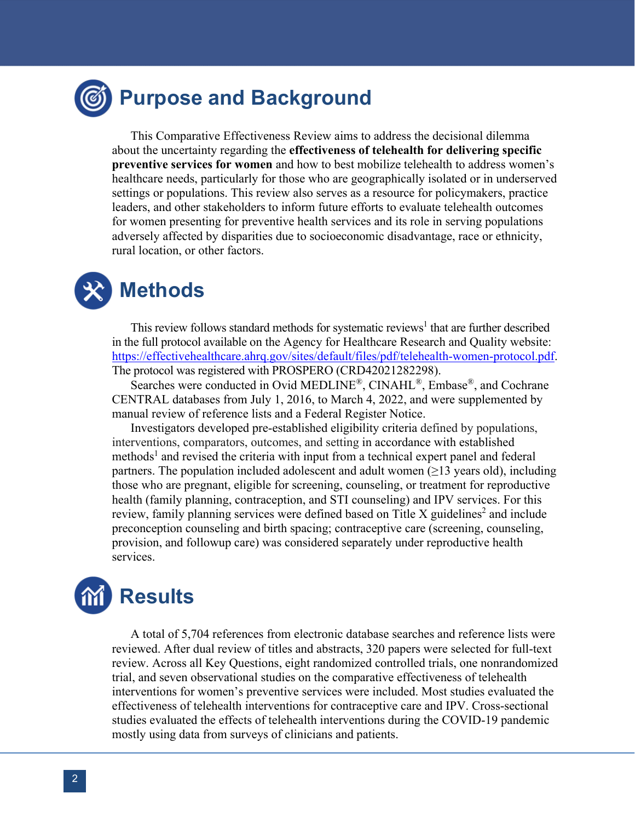#### **Purpose and Background**

This Comparative Effectiveness Review aims to address the decisional dilemma about the uncertainty regarding the **effectiveness of telehealth for delivering specific preventive services for women** and how to best mobilize telehealth to address women's healthcare needs, particularly for those who are geographically isolated or in underserved settings or populations. This review also serves as a resource for policymakers, practice leaders, and other stakeholders to inform future efforts to evaluate telehealth outcomes for women presenting for preventive health services and its role in serving populations adversely affected by disparities due to socioeconomic disadvantage, race or ethnicity, rural location, or other factors.

## **Methods**

This review follows standard methods for systematic reviews<sup>1</sup> that are further described in the full protocol available on the Agency for Healthcare Research and Quality website: [https://effectivehealthcare.ahrq.gov/sites/default/files/pdf/telehealth-women-protocol.pdf.](https://effectivehealthcare.ahrq.gov/sites/default/files/pdf/telehealth-women-protocol.pdf) The protocol was registered with PROSPERO (CRD42021282298).

Searches were conducted in Ovid MEDLINE®, CINAHL®, Embase®, and Cochrane CENTRAL databases from July 1, 2016, to March 4, 2022, and were supplemented by manual review of reference lists and a Federal Register Notice.

Investigators developed pre-established eligibility criteria defined by populations, interventions, comparators, outcomes, and setting in accordance with established methods<sup>1</sup> and revised the criteria with input from a technical expert panel and federal partners. The population included adolescent and adult women ( $\geq$ 13 years old), including those who are pregnant, eligible for screening, counseling, or treatment for reproductive health (family planning, contraception, and STI counseling) and IPV services. For this review, family planning services were defined based on Title X guidelines<sup>2</sup> and include preconception counseling and birth spacing; contraceptive care (screening, counseling, provision, and followup care) was considered separately under reproductive health services.

# **Results**

A total of 5,704 references from electronic database searches and reference lists were reviewed. After dual review of titles and abstracts, 320 papers were selected for full-text review. Across all Key Questions, eight randomized controlled trials, one nonrandomized trial, and seven observational studies on the comparative effectiveness of telehealth interventions for women's preventive services were included. Most studies evaluated the effectiveness of telehealth interventions for contraceptive care and IPV. Cross-sectional studies evaluated the effects of telehealth interventions during the COVID-19 pandemic mostly using data from surveys of clinicians and patients.

 $\overline{a}$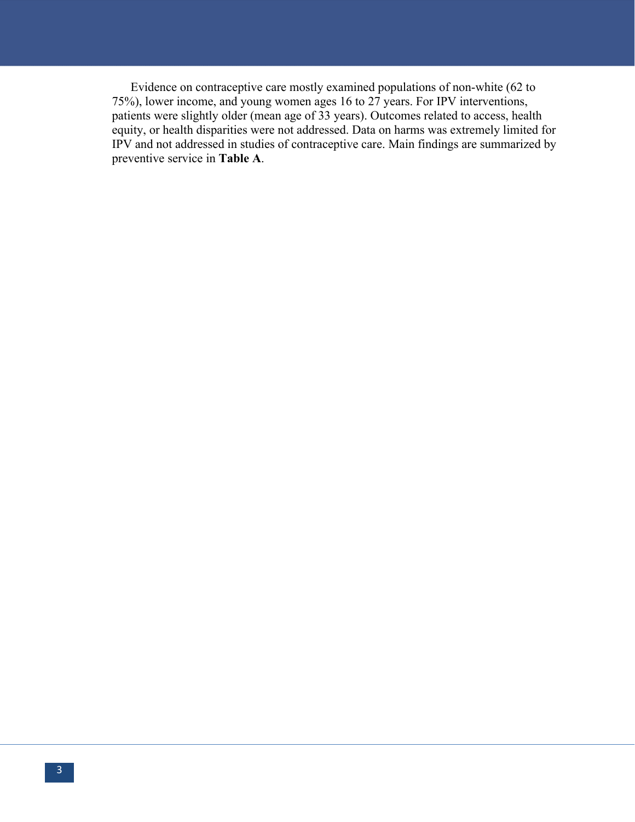Evidence on contraceptive care mostly examined populations of non-white (62 to 75%), lower income, and young women ages 16 to 27 years. For IPV interventions, patients were slightly older (mean age of 33 years). Outcomes related to access, health equity, or health disparities were not addressed. Data on harms was extremely limited for IPV and not addressed in studies of contraceptive care. Main findings are summarized by preventive service in **Table A**.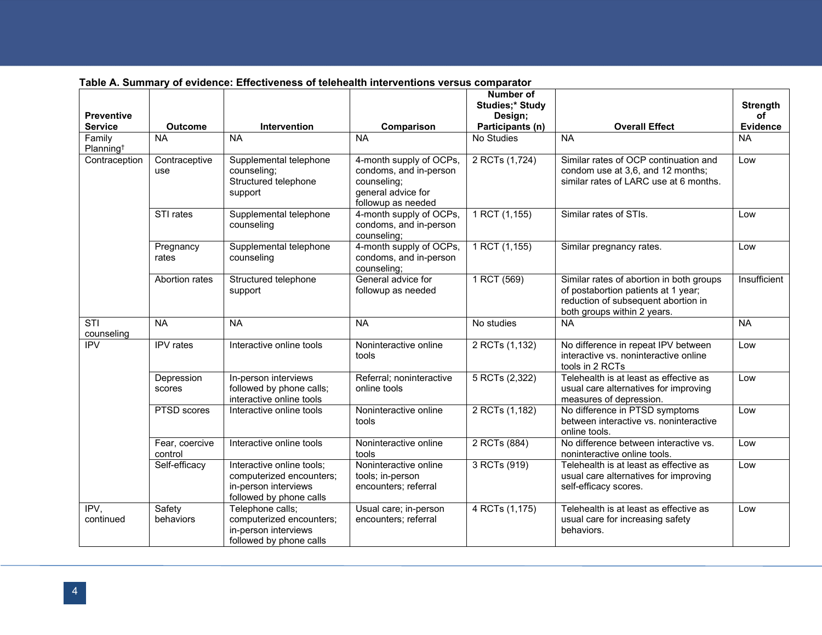|                                 |                           |                                                                                                          |                                                                                                              | <b>Number of</b><br><b>Studies;* Study</b> |                                                                                                                                                       | <b>Strength</b> |
|---------------------------------|---------------------------|----------------------------------------------------------------------------------------------------------|--------------------------------------------------------------------------------------------------------------|--------------------------------------------|-------------------------------------------------------------------------------------------------------------------------------------------------------|-----------------|
| <b>Preventive</b>               |                           |                                                                                                          |                                                                                                              | Design;                                    |                                                                                                                                                       | of              |
| <b>Service</b>                  | <b>Outcome</b>            | Intervention                                                                                             | Comparison                                                                                                   | Participants (n)                           | <b>Overall Effect</b>                                                                                                                                 | <b>Evidence</b> |
| Family<br>Planning <sup>t</sup> | <b>NA</b>                 | <b>NA</b>                                                                                                | <b>NA</b>                                                                                                    | No Studies                                 | <b>NA</b>                                                                                                                                             | <b>NA</b>       |
| Contraception                   | Contraceptive<br>use      | Supplemental telephone<br>counseling;<br>Structured telephone<br>support                                 | 4-month supply of OCPs,<br>condoms, and in-person<br>counseling;<br>general advice for<br>followup as needed | 2 RCTs (1,724)                             | Similar rates of OCP continuation and<br>condom use at 3,6, and 12 months;<br>similar rates of LARC use at 6 months.                                  | Low             |
|                                 | STI rates                 | Supplemental telephone<br>counseling                                                                     | 4-month supply of OCPs,<br>condoms, and in-person<br>counseling;                                             | 1 RCT (1,155)                              | Similar rates of STIs.                                                                                                                                | Low             |
|                                 | Pregnancy<br>rates        | Supplemental telephone<br>counseling                                                                     | 4-month supply of OCPs,<br>condoms, and in-person<br>counseling;                                             | 1 RCT (1,155)                              | Similar pregnancy rates.                                                                                                                              | Low             |
|                                 | Abortion rates            | Structured telephone<br>support                                                                          | General advice for<br>followup as needed                                                                     | 1 RCT (569)                                | Similar rates of abortion in both groups<br>of postabortion patients at 1 year;<br>reduction of subsequent abortion in<br>both groups within 2 years. | Insufficient    |
| STI<br>counseling               | <b>NA</b>                 | <b>NA</b>                                                                                                | <b>NA</b>                                                                                                    | No studies                                 | <b>NA</b>                                                                                                                                             | <b>NA</b>       |
| <b>IPV</b>                      | <b>IPV</b> rates          | Interactive online tools                                                                                 | Noninteractive online<br>tools                                                                               | 2 RCTs (1,132)                             | No difference in repeat IPV between<br>interactive vs. noninteractive online<br>tools in 2 RCTs                                                       | Low             |
|                                 | Depression<br>scores      | In-person interviews<br>followed by phone calls;<br>interactive online tools                             | Referral; noninteractive<br>online tools                                                                     | 5 RCTs (2,322)                             | Telehealth is at least as effective as<br>usual care alternatives for improving<br>measures of depression.                                            | Low             |
|                                 | PTSD scores               | Interactive online tools                                                                                 | Noninteractive online<br>tools                                                                               | 2 RCTs (1,182)                             | No difference in PTSD symptoms<br>between interactive vs. noninteractive<br>online tools.                                                             | Low             |
|                                 | Fear, coercive<br>control | Interactive online tools                                                                                 | Noninteractive online<br>tools                                                                               | 2 RCTs (884)                               | No difference between interactive vs.<br>noninteractive online tools.                                                                                 | Low             |
|                                 | Self-efficacy             | Interactive online tools;<br>computerized encounters;<br>in-person interviews<br>followed by phone calls | Noninteractive online<br>tools; in-person<br>encounters; referral                                            | 3 RCTs (919)                               | Telehealth is at least as effective as<br>usual care alternatives for improving<br>self-efficacy scores.                                              | Low             |
| IPV,<br>continued               | Safety<br>behaviors       | Telephone calls;<br>computerized encounters;<br>in-person interviews<br>followed by phone calls          | Usual care; in-person<br>encounters; referral                                                                | 4 RCTs (1,175)                             | Telehealth is at least as effective as<br>usual care for increasing safety<br>behaviors.                                                              | Low             |

 $\overline{a}$ 

#### **Table A. Summary of evidence: Effectiveness of telehealth interventions versus comparator**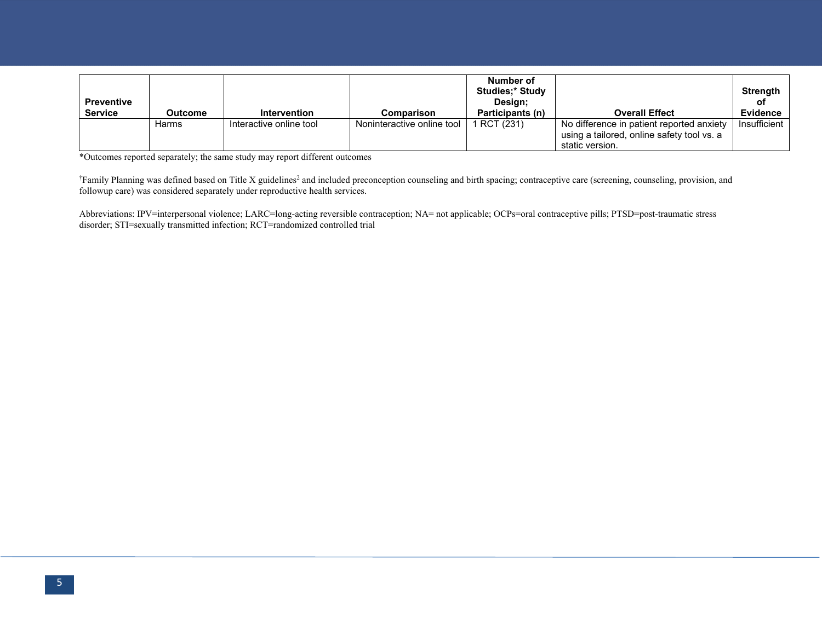| <b>Preventive</b> |         |                         |                            | Number of<br><b>Studies:* Study</b><br>Design: |                                                                                                            | <b>Strength</b><br>оf |
|-------------------|---------|-------------------------|----------------------------|------------------------------------------------|------------------------------------------------------------------------------------------------------------|-----------------------|
| <b>Service</b>    | Outcome | <b>Intervention</b>     | Comparison                 | Participants (n)                               | <b>Overall Effect</b>                                                                                      | <b>Evidence</b>       |
|                   | Harms   | Interactive online tool | Noninteractive online tool | RCT (231)                                      | No difference in patient reported anxiety<br>using a tailored, online safety tool vs. a<br>static version. | Insufficient          |

\*Outcomes reported separately; the same study may report different outcomes

<sup>†</sup>Family Planning was defined based on Title X guidelines<sup>2</sup> and included preconception counseling and birth spacing; contraceptive care (screening, counseling, provision, and followup care) was considered separately under reproductive health services.

Abbreviations: IPV=interpersonal violence; LARC=long-acting reversible contraception; NA= not applicable; OCPs=oral contraceptive pills; PTSD=post-traumatic stress disorder; STI=sexually transmitted infection; RCT=randomized controlled trial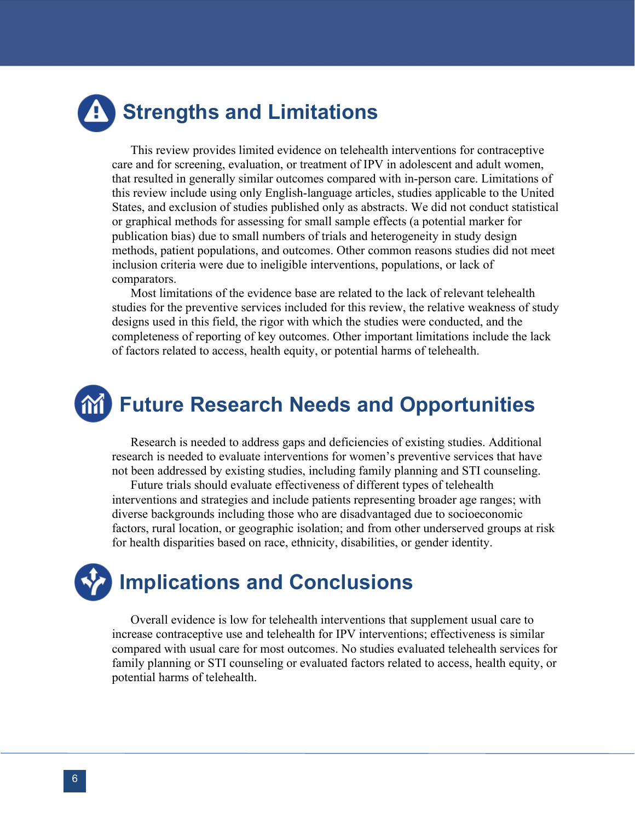# **Strengths and Limitations**

This review provides limited evidence on telehealth interventions for contraceptive care and for screening, evaluation, or treatment of IPV in adolescent and adult women, that resulted in generally similar outcomes compared with in-person care. Limitations of this review include using only English-language articles, studies applicable to the United States, and exclusion of studies published only as abstracts. We did not conduct statistical or graphical methods for assessing for small sample effects (a potential marker for publication bias) due to small numbers of trials and heterogeneity in study design methods, patient populations, and outcomes. Other common reasons studies did not meet inclusion criteria were due to ineligible interventions, populations, or lack of comparators.

Most limitations of the evidence base are related to the lack of relevant telehealth studies for the preventive services included for this review, the relative weakness of study designs used in this field, the rigor with which the studies were conducted, and the completeness of reporting of key outcomes. Other important limitations include the lack of factors related to access, health equity, or potential harms of telehealth.

# **Future Research Needs and Opportunities**

Research is needed to address gaps and deficiencies of existing studies. Additional research is needed to evaluate interventions for women's preventive services that have not been addressed by existing studies, including family planning and STI counseling.

Future trials should evaluate effectiveness of different types of telehealth interventions and strategies and include patients representing broader age ranges; with diverse backgrounds including those who are disadvantaged due to socioeconomic factors, rural location, or geographic isolation; and from other underserved groups at risk for health disparities based on race, ethnicity, disabilities, or gender identity.

# **Implications and Conclusions**

Overall evidence is low for telehealth interventions that supplement usual care to increase contraceptive use and telehealth for IPV interventions; effectiveness is similar compared with usual care for most outcomes. No studies evaluated telehealth services for family planning or STI counseling or evaluated factors related to access, health equity, or potential harms of telehealth.

j